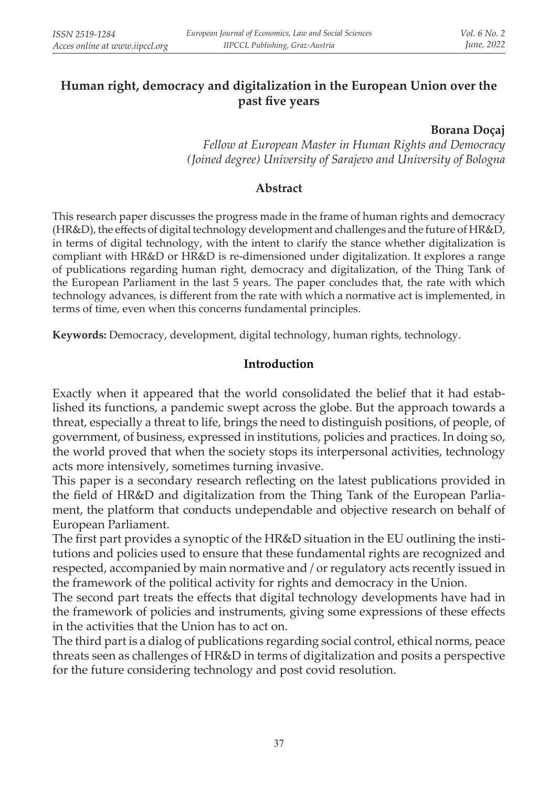# **Human right, democracy and digitalization in the European Union over the past five years**

#### **Borana Doçaj**

*Fellow at European Master in Human Rights and Democracy (Joined degree) University of Sarajevo and University of Bologna*

### **Abstract**

This research paper discusses the progress made in the frame of human rights and democracy (HR&D), the effects of digital technology development and challenges and the future of HR&D, in terms of digital technology, with the intent to clarify the stance whether digitalization is compliant with HR&D or HR&D is re-dimensioned under digitalization. It explores a range of publications regarding human right, democracy and digitalization, of the Thing Tank of the European Parliament in the last 5 years. The paper concludes that, the rate with which technology advances, is different from the rate with which a normative act is implemented, in terms of time, even when this concerns fundamental principles.

**Keywords:** Democracy, development, digital technology, human rights, technology.

### **Introduction**

Exactly when it appeared that the world consolidated the belief that it had established its functions, a pandemic swept across the globe. But the approach towards a threat, especially a threat to life, brings the need to distinguish positions, of people, of government, of business, expressed in institutions, policies and practices. In doing so, the world proved that when the society stops its interpersonal activities, technology acts more intensively, sometimes turning invasive.

This paper is a secondary research reflecting on the latest publications provided in the field of HR&D and digitalization from the Thing Tank of the European Parliament, the platform that conducts undependable and objective research on behalf of European Parliament.

The first part provides a synoptic of the HR&D situation in the EU outlining the institutions and policies used to ensure that these fundamental rights are recognized and respected, accompanied by main normative and / or regulatory acts recently issued in the framework of the political activity for rights and democracy in the Union.

The second part treats the effects that digital technology developments have had in the framework of policies and instruments, giving some expressions of these effects in the activities that the Union has to act on.

The third part is a dialog of publications regarding social control, ethical norms, peace threats seen as challenges of HR&D in terms of digitalization and posits a perspective for the future considering technology and post covid resolution.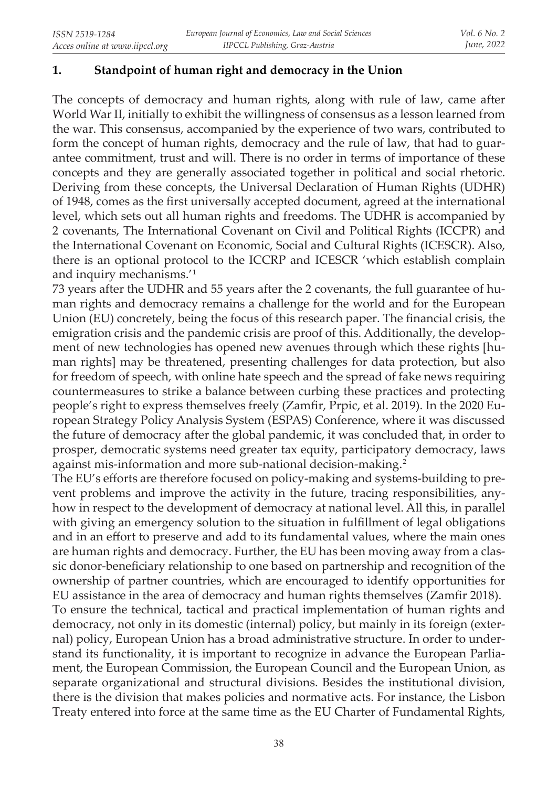### **1. Standpoint of human right and democracy in the Union**

The concepts of democracy and human rights, along with rule of law, came after World War II, initially to exhibit the willingness of consensus as a lesson learned from the war. This consensus, accompanied by the experience of two wars, contributed to form the concept of human rights, democracy and the rule of law, that had to guarantee commitment, trust and will. There is no order in terms of importance of these concepts and they are generally associated together in political and social rhetoric. Deriving from these concepts, the Universal Declaration of Human Rights (UDHR) of 1948, comes as the first universally accepted document, agreed at the international level, which sets out all human rights and freedoms. The UDHR is accompanied by 2 covenants, The International Covenant on Civil and Political Rights (ICCPR) and the International Covenant on Economic, Social and Cultural Rights (ICESCR). Also, there is an optional protocol to the ICCRP and ICESCR 'which establish complain and inquiry mechanisms.'<sup>1</sup>

73 years after the UDHR and 55 years after the 2 covenants, the full guarantee of human rights and democracy remains a challenge for the world and for the European Union (EU) concretely, being the focus of this research paper. The financial crisis, the emigration crisis and the pandemic crisis are proof of this. Additionally, the development of new technologies has opened new avenues through which these rights [human rights] may be threatened, presenting challenges for data protection, but also for freedom of speech, with online hate speech and the spread of fake news requiring countermeasures to strike a balance between curbing these practices and protecting people's right to express themselves freely (Zamfir, Prpic, et al. 2019). In the 2020 European Strategy Policy Analysis System (ESPAS) Conference, where it was discussed the future of democracy after the global pandemic, it was concluded that, in order to prosper, democratic systems need greater tax equity, participatory democracy, laws against mis-information and more sub-national decision-making.<sup>2</sup>

The EU's efforts are therefore focused on policy-making and systems-building to prevent problems and improve the activity in the future, tracing responsibilities, anyhow in respect to the development of democracy at national level. All this, in parallel with giving an emergency solution to the situation in fulfillment of legal obligations and in an effort to preserve and add to its fundamental values, where the main ones are human rights and democracy. Further, the EU has been moving away from a classic donor-beneficiary relationship to one based on partnership and recognition of the ownership of partner countries, which are encouraged to identify opportunities for EU assistance in the area of democracy and human rights themselves (Zamfir 2018). To ensure the technical, tactical and practical implementation of human rights and democracy, not only in its domestic (internal) policy, but mainly in its foreign (external) policy, European Union has a broad administrative structure. In order to understand its functionality, it is important to recognize in advance the European Parliament, the European Commission, the European Council and the European Union, as separate organizational and structural divisions. Besides the institutional division, there is the division that makes policies and normative acts. For instance, the Lisbon Treaty entered into force at the same time as the EU Charter of Fundamental Rights,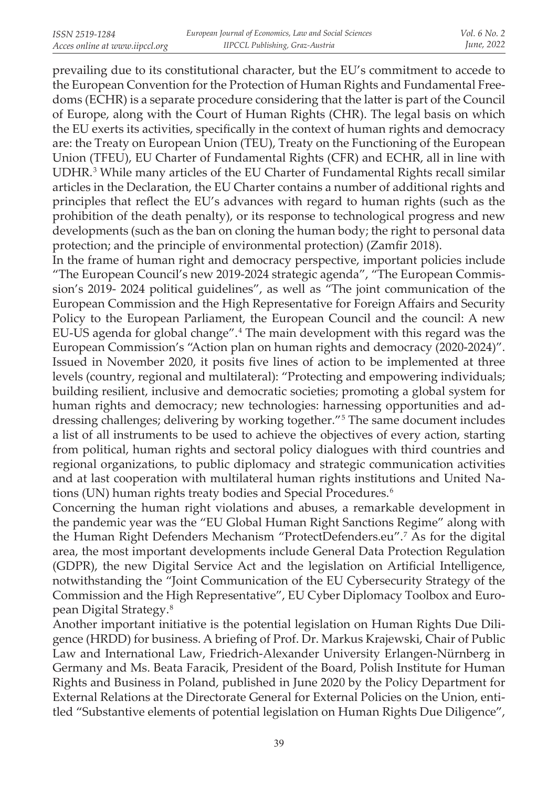prevailing due to its constitutional character, but the EU's commitment to accede to the European Convention for the Protection of Human Rights and Fundamental Freedoms (ECHR) is a separate procedure considering that the latter is part of the Council of Europe, along with the Court of Human Rights (CHR). The legal basis on which the EU exerts its activities, specifically in the context of human rights and democracy are: the Treaty on European Union (TEU), Treaty on the Functioning of the European Union (TFEU), EU Charter of Fundamental Rights (CFR) and ECHR, all in line with UDHR.<sup>3</sup> While many articles of the EU Charter of Fundamental Rights recall similar articles in the Declaration, the EU Charter contains a number of additional rights and principles that reflect the EU's advances with regard to human rights (such as the prohibition of the death penalty), or its response to technological progress and new developments (such as the ban on cloning the human body; the right to personal data protection; and the principle of environmental protection) (Zamfir 2018).

In the frame of human right and democracy perspective, important policies include "The European Council's new 2019-2024 strategic agenda", "The European Commission's 2019- 2024 political guidelines", as well as "The joint communication of the European Commission and the High Representative for Foreign Affairs and Security Policy to the European Parliament, the European Council and the council: A new EU-US agenda for global change". 4 The main development with this regard was the European Commission's "Action plan on human rights and democracy (2020-2024)". Issued in November 2020, it posits five lines of action to be implemented at three levels (country, regional and multilateral): "Protecting and empowering individuals; building resilient, inclusive and democratic societies; promoting a global system for human rights and democracy; new technologies: harnessing opportunities and addressing challenges; delivering by working together." 5 The same document includes a list of all instruments to be used to achieve the objectives of every action, starting from political, human rights and sectoral policy dialogues with third countries and regional organizations, to public diplomacy and strategic communication activities and at last cooperation with multilateral human rights institutions and United Nations (UN) human rights treaty bodies and Special Procedures.<sup>6</sup>

Concerning the human right violations and abuses, a remarkable development in the pandemic year was the "EU Global Human Right Sanctions Regime" along with the Human Right Defenders Mechanism "ProtectDefenders.eu". 7 As for the digital area, the most important developments include General Data Protection Regulation (GDPR), the new Digital Service Act and the legislation on Artificial Intelligence, notwithstanding the "Joint Communication of the EU Cybersecurity Strategy of the Commission and the High Representative", EU Cyber Diplomacy Toolbox and European Digital Strategy.<sup>8</sup>

Another important initiative is the potential legislation on Human Rights Due Diligence (HRDD) for business. A briefing of Prof. Dr. Markus Krajewski, Chair of Public Law and International Law, Friedrich-Alexander University Erlangen-Nürnberg in Germany and Ms. Beata Faracik, President of the Board, Polish Institute for Human Rights and Business in Poland, published in June 2020 by the Policy Department for External Relations at the Directorate General for External Policies on the Union, entitled "Substantive elements of potential legislation on Human Rights Due Diligence",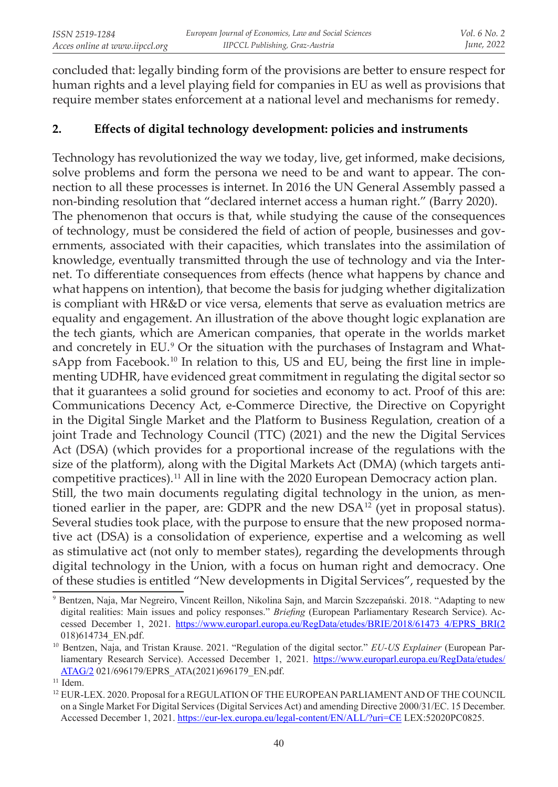concluded that: legally binding form of the provisions are better to ensure respect for human rights and a level playing field for companies in EU as well as provisions that require member states enforcement at a national level and mechanisms for remedy.

# **2. Effects of digital technology development: policies and instruments**

Technology has revolutionized the way we today, live, get informed, make decisions, solve problems and form the persona we need to be and want to appear. The connection to all these processes is internet. In 2016 the UN General Assembly passed a non-binding resolution that "declared internet access a human right." (Barry 2020). The phenomenon that occurs is that, while studying the cause of the consequences of technology, must be considered the field of action of people, businesses and governments, associated with their capacities, which translates into the assimilation of knowledge, eventually transmitted through the use of technology and via the Internet. To differentiate consequences from effects (hence what happens by chance and what happens on intention), that become the basis for judging whether digitalization is compliant with HR&D or vice versa, elements that serve as evaluation metrics are equality and engagement. An illustration of the above thought logic explanation are the tech giants, which are American companies, that operate in the worlds market and concretely in EU. 9 Or the situation with the purchases of Instagram and WhatsApp from Facebook.<sup>10</sup> In relation to this, US and EU, being the first line in implementing UDHR, have evidenced great commitment in regulating the digital sector so that it guarantees a solid ground for societies and economy to act. Proof of this are: Communications Decency Act, e-Commerce Directive, the Directive on Copyright in the Digital Single Market and the Platform to Business Regulation, creation of a joint Trade and Technology Council (TTC) (2021) and the new the Digital Services Act (DSA) (which provides for a proportional increase of the regulations with the size of the platform), along with the Digital Markets Act (DMA) (which targets anticompetitive practices).<sup>11</sup> All in line with the 2020 European Democracy action plan. Still, the two main documents regulating digital technology in the union, as mentioned earlier in the paper, are: GDPR and the new DSA<sup>12</sup> (yet in proposal status). Several studies took place, with the purpose to ensure that the new proposed normative act (DSA) is a consolidation of experience, expertise and a welcoming as well as stimulative act (not only to member states), regarding the developments through digital technology in the Union, with a focus on human right and democracy. One of these studies is entitled "New developments in Digital Services", requested by the

<sup>&</sup>lt;sup>9</sup> Bentzen, Naja, Mar Negreiro, Vincent Reillon, Nikolina Sajn, and Marcin Szczepański. 2018. "Adapting to new digital realities: Main issues and policy responses." *Briefing* (European Parliamentary Research Service). Accessed December 1, 2021. https://www.europarl.europa.eu/RegData/etudes/BRIE/2018/61473 4/EPRS\_BRI(2 018)614734\_EN.pdf.

<sup>10</sup> Bentzen, Naja, and Tristan Krause. 2021. "Regulation of the digital sector." *EU-US Explainer* (European Parliamentary Research Service). Accessed December 1, 2021. https://www.europarl.europa.eu/RegData/etudes/ ATAG/2 021/696179/EPRS ATA(2021)696179 EN.pdf.

 $11$  Idem.

<sup>&</sup>lt;sup>12</sup> EUR-LEX. 2020. Proposal for a REGULATION OF THE EUROPEAN PARLIAMENT AND OF THE COUNCIL on a Single Market For Digital Services (Digital Services Act) and amending Directive 2000/31/EC. 15 December. Accessed December 1, 2021. https://eur-lex.europa.eu/legal-content/EN/ALL/?uri=CE LEX:52020PC0825.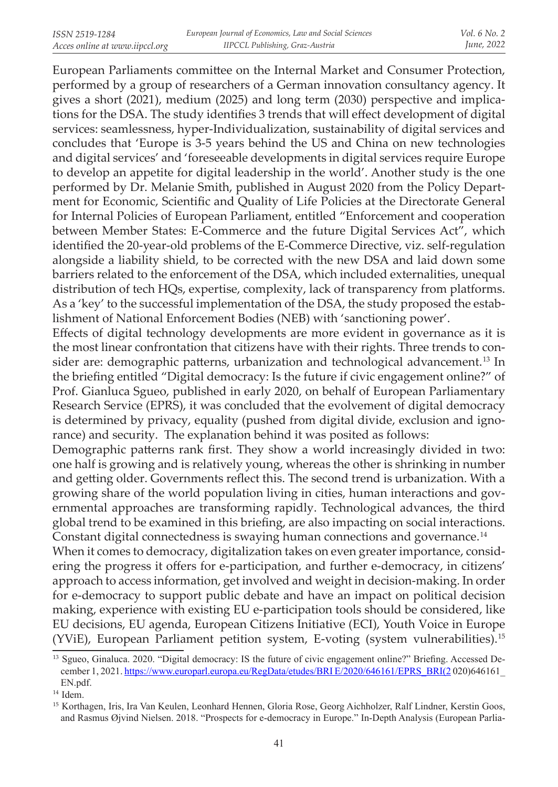European Parliaments committee on the Internal Market and Consumer Protection, performed by a group of researchers of a German innovation consultancy agency. It gives a short (2021), medium (2025) and long term (2030) perspective and implications for the DSA. The study identifies 3 trends that will effect development of digital services: seamlessness, hyper-Individualization, sustainability of digital services and concludes that 'Europe is 3-5 years behind the US and China on new technologies and digital services' and 'foreseeable developments in digital services require Europe to develop an appetite for digital leadership in the world'. Another study is the one performed by Dr. Melanie Smith, published in August 2020 from the Policy Department for Economic, Scientific and Quality of Life Policies at the Directorate General for Internal Policies of European Parliament, entitled "Enforcement and cooperation between Member States: E-Commerce and the future Digital Services Act", which identified the 20-year-old problems of the E-Commerce Directive, viz. self-regulation alongside a liability shield, to be corrected with the new DSA and laid down some barriers related to the enforcement of the DSA, which included externalities, unequal distribution of tech HQs, expertise, complexity, lack of transparency from platforms. As a 'key' to the successful implementation of the DSA, the study proposed the establishment of National Enforcement Bodies (NEB) with 'sanctioning power'.

Effects of digital technology developments are more evident in governance as it is the most linear confrontation that citizens have with their rights. Three trends to consider are: demographic patterns, urbanization and technological advancement. 13 In the briefing entitled "Digital democracy: Is the future if civic engagement online?" of Prof. Gianluca Sgueo, published in early 2020, on behalf of European Parliamentary Research Service (EPRS), it was concluded that the evolvement of digital democracy is determined by privacy, equality (pushed from digital divide, exclusion and ignorance) and security. The explanation behind it was posited as follows:

Demographic patterns rank first. They show a world increasingly divided in two: one half is growing and is relatively young, whereas the other is shrinking in number and getting older. Governments reflect this. The second trend is urbanization. With a growing share of the world population living in cities, human interactions and governmental approaches are transforming rapidly. Technological advances, the third global trend to be examined in this briefing, are also impacting on social interactions. Constant digital connectedness is swaying human connections and governance.<sup>14</sup>

When it comes to democracy, digitalization takes on even greater importance, considering the progress it offers for e-participation, and further e-democracy, in citizens' approach to access information, get involved and weight in decision-making. In order for e-democracy to support public debate and have an impact on political decision making, experience with existing EU e-participation tools should be considered, like EU decisions, EU agenda, European Citizens Initiative (ECI), Youth Voice in Europe (YViE), European Parliament petition system, E-voting (system vulnerabilities).<sup>15</sup>

<sup>&</sup>lt;sup>13</sup> Sgueo, Ginaluca. 2020. "Digital democracy: IS the future of civic engagement online?" Briefing. Accessed December 1, 2021. https://www.europarl.europa.eu/RegData/etudes/BRI E/2020/646161/EPRS\_BRI(2 020)646161 EN.pdf.

 $14$  Idem.

<sup>&</sup>lt;sup>15</sup> Korthagen, Iris, Ira Van Keulen, Leonhard Hennen, Gloria Rose, Georg Aichholzer, Ralf Lindner, Kerstin Goos, and Rasmus Øjvind Nielsen. 2018. "Prospects for e-democracy in Europe." In-Depth Analysis (European Parlia-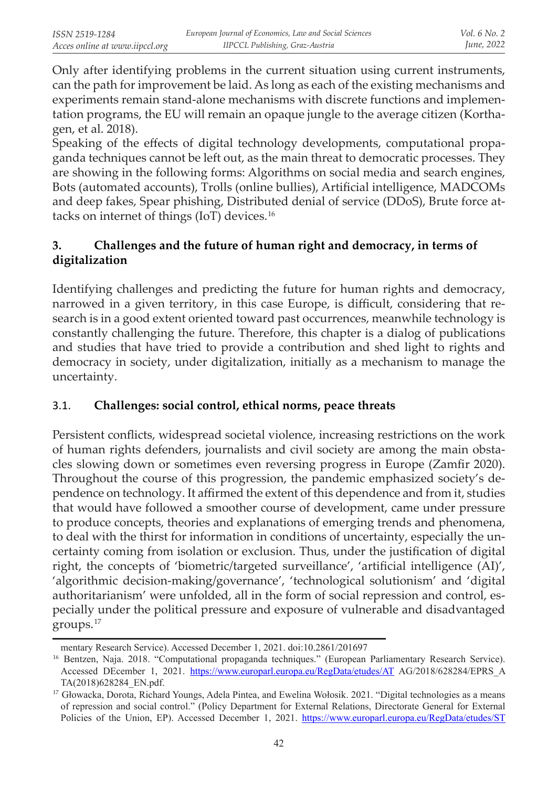Only after identifying problems in the current situation using current instruments, can the path for improvement be laid. As long as each of the existing mechanisms and experiments remain stand-alone mechanisms with discrete functions and implementation programs, the EU will remain an opaque jungle to the average citizen (Korthagen, et al. 2018).

Speaking of the effects of digital technology developments, computational propaganda techniques cannot be left out, as the main threat to democratic processes. They are showing in the following forms: Algorithms on social media and search engines, Bots (automated accounts), Trolls (online bullies), Artificial intelligence, MADCOMs and deep fakes, Spear phishing, Distributed denial of service (DDoS), Brute force attacks on internet of things (IoT) devices.<sup>16</sup>

# **3. Challenges and the future of human right and democracy, in terms of digitalization**

Identifying challenges and predicting the future for human rights and democracy, narrowed in a given territory, in this case Europe, is difficult, considering that research is in a good extent oriented toward past occurrences, meanwhile technology is constantly challenging the future. Therefore, this chapter is a dialog of publications and studies that have tried to provide a contribution and shed light to rights and democracy in society, under digitalization, initially as a mechanism to manage the uncertainty.

# 3.1. **Challenges: social control, ethical norms, peace threats**

Persistent conflicts, widespread societal violence, increasing restrictions on the work of human rights defenders, journalists and civil society are among the main obstacles slowing down or sometimes even reversing progress in Europe (Zamfir 2020). Throughout the course of this progression, the pandemic emphasized society's dependence on technology. It affirmed the extent of this dependence and from it, studies that would have followed a smoother course of development, came under pressure to produce concepts, theories and explanations of emerging trends and phenomena, to deal with the thirst for information in conditions of uncertainty, especially the uncertainty coming from isolation or exclusion. Thus, under the justification of digital right, the concepts of 'biometric/targeted surveillance', 'artificial intelligence (AI)', 'algorithmic decision-making/governance', 'technological solutionism' and 'digital authoritarianism' were unfolded, all in the form of social repression and control, especially under the political pressure and exposure of vulnerable and disadvantaged groups.<sup>17</sup>

mentary Research Service). Accessed December 1, 2021. doi:10.2861/201697

<sup>&</sup>lt;sup>16</sup> Bentzen, Naja. 2018. "Computational propaganda techniques." (European Parliamentary Research Service). Accessed DEcember 1, 2021. https://www.europarl.europa.eu/RegData/etudes/AT AG/2018/628284/EPRS\_A TA(2018)628284\_EN.pdf.

<sup>&</sup>lt;sup>17</sup> Głowacka, Dorota, Richard Youngs, Adela Pintea, and Ewelina Wołosik. 2021. "Digital technologies as a means of repression and social control." (Policy Department for External Relations, Directorate General for External Policies of the Union, EP). Accessed December 1, 2021. https://www.europarl.europa.eu/RegData/etudes/ST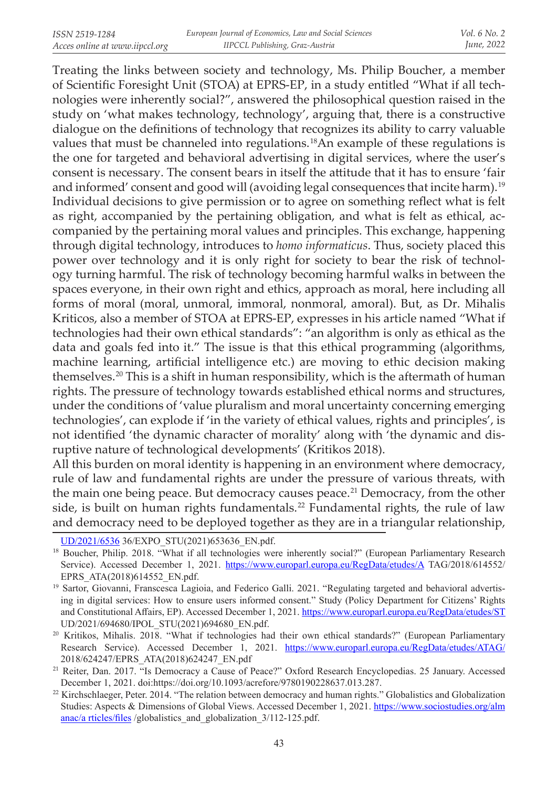Treating the links between society and technology, Ms. Philip Boucher, a member of Scientific Foresight Unit (STOA) at EPRS-EP, in a study entitled "What if all technologies were inherently social?", answered the philosophical question raised in the study on 'what makes technology, technology', arguing that, there is a constructive dialogue on the definitions of technology that recognizes its ability to carry valuable values that must be channeled into regulations.<sup>18</sup>An example of these regulations is the one for targeted and behavioral advertising in digital services, where the user's consent is necessary. The consent bears in itself the attitude that it has to ensure 'fair and informed' consent and good will (avoiding legal consequences that incite harm).<sup>19</sup> Individual decisions to give permission or to agree on something reflect what is felt as right, accompanied by the pertaining obligation, and what is felt as ethical, accompanied by the pertaining moral values and principles. This exchange, happening through digital technology, introduces to *homo informaticus*. Thus, society placed this power over technology and it is only right for society to bear the risk of technology turning harmful. The risk of technology becoming harmful walks in between the spaces everyone, in their own right and ethics, approach as moral, here including all forms of moral (moral, unmoral, immoral, nonmoral, amoral). But, as Dr. Mihalis Kriticos, also a member of STOA at EPRS-EP, expresses in his article named "What if technologies had their own ethical standards": "an algorithm is only as ethical as the data and goals fed into it." The issue is that this ethical programming (algorithms, machine learning, artificial intelligence etc.) are moving to ethic decision making themselves.<sup>20</sup> This is a shift in human responsibility, which is the aftermath of human rights. The pressure of technology towards established ethical norms and structures, under the conditions of 'value pluralism and moral uncertainty concerning emerging technologies', can explode if 'in the variety of ethical values, rights and principles', is not identified 'the dynamic character of morality' along with 'the dynamic and disruptive nature of technological developments' (Kritikos 2018).

All this burden on moral identity is happening in an environment where democracy, rule of law and fundamental rights are under the pressure of various threats, with the main one being peace. But democracy causes peace.<sup>21</sup> Democracy, from the other side, is built on human rights fundamentals.<sup>22</sup> Fundamental rights, the rule of law and democracy need to be deployed together as they are in a triangular relationship,

UD/2021/6536 36/EXPO\_STU(2021)653636\_EN.pdf.

<sup>&</sup>lt;sup>18</sup> Boucher, Philip. 2018. "What if all technologies were inherently social?" (European Parliamentary Research Service). Accessed December 1, 2021. https://www.europarl.europa.eu/RegData/etudes/A TAG/2018/614552/ EPRS\_ATA(2018)614552\_EN.pdf.

<sup>&</sup>lt;sup>19</sup> Sartor, Giovanni, Franscesca Lagioia, and Federico Galli. 2021. "Regulating targeted and behavioral advertising in digital services: How to ensure users informed consent." Study (Policy Department for Citizens' Rights and Constitutional Affairs, EP). Accessed December 1, 2021. https://www.europarl.europa.eu/RegData/etudes/ST UD/2021/694680/IPOL\_STU(2021)694680\_EN.pdf.

<sup>&</sup>lt;sup>20</sup> Kritikos, Mihalis. 2018. "What if technologies had their own ethical standards?" (European Parliamentary Research Service). Accessed December 1, 2021. https://www.europarl.europa.eu/RegData/etudes/ATAG/ 2018/624247/EPRS\_ATA(2018)624247\_EN.pdf

<sup>&</sup>lt;sup>21</sup> Reiter, Dan. 2017. "Is Democracy a Cause of Peace?" Oxford Research Encyclopedias. 25 January. Accessed December 1, 2021. doi:https://doi.org/10.1093/acrefore/9780190228637.013.287.

<sup>&</sup>lt;sup>22</sup> Kirchschlaeger, Peter. 2014. "The relation between democracy and human rights." Globalistics and Globalization Studies: Aspects & Dimensions of Global Views. Accessed December 1, 2021. https://www.sociostudies.org/alm anac/a rticles/files /globalistics and globalization 3/112-125.pdf.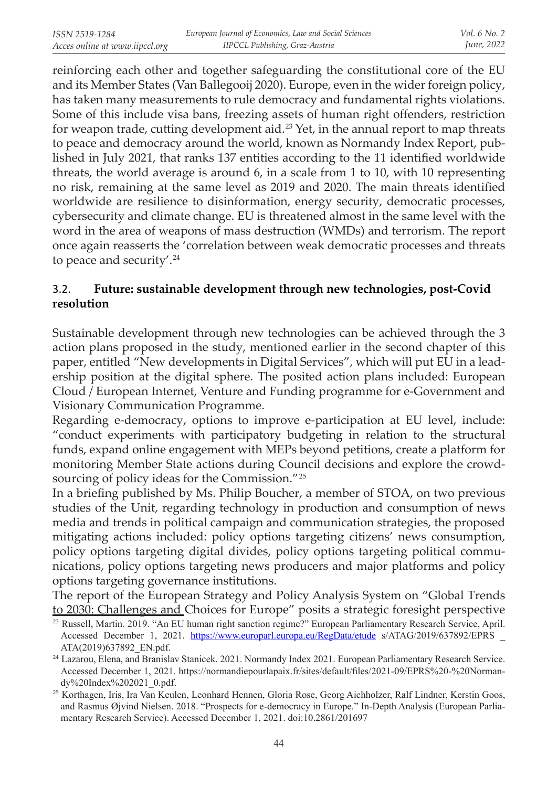reinforcing each other and together safeguarding the constitutional core of the EU and its Member States (Van Ballegooij 2020). Europe, even in the wider foreign policy, has taken many measurements to rule democracy and fundamental rights violations. Some of this include visa bans, freezing assets of human right offenders, restriction for weapon trade, cutting development aid. 23 Yet, in the annual report to map threats to peace and democracy around the world, known as Normandy Index Report, published in July 2021, that ranks 137 entities according to the 11 identified worldwide threats, the world average is around 6, in a scale from 1 to 10, with 10 representing no risk, remaining at the same level as 2019 and 2020. The main threats identified worldwide are resilience to disinformation, energy security, democratic processes, cybersecurity and climate change. EU is threatened almost in the same level with the word in the area of weapons of mass destruction (WMDs) and terrorism. The report once again reasserts the 'correlation between weak democratic processes and threats to peace and security'.<sup>24</sup>

## 3.2. **Future: sustainable development through new technologies, post-Covid resolution**

Sustainable development through new technologies can be achieved through the 3 action plans proposed in the study, mentioned earlier in the second chapter of this paper, entitled "New developments in Digital Services", which will put EU in a leadership position at the digital sphere. The posited action plans included: European Cloud / European Internet, Venture and Funding programme for e-Government and Visionary Communication Programme.

Regarding e-democracy, options to improve e-participation at EU level, include: "conduct experiments with participatory budgeting in relation to the structural funds, expand online engagement with MEPs beyond petitions, create a platform for monitoring Member State actions during Council decisions and explore the crowdsourcing of policy ideas for the Commission."<sup>25</sup>

In a briefing published by Ms. Philip Boucher, a member of STOA, on two previous studies of the Unit, regarding technology in production and consumption of news media and trends in political campaign and communication strategies, the proposed mitigating actions included: policy options targeting citizens' news consumption, policy options targeting digital divides, policy options targeting political communications, policy options targeting news producers and major platforms and policy options targeting governance institutions.

The report of the European Strategy and Policy Analysis System on "Global Trends to 2030: Challenges and Choices for Europe" posits a strategic foresight perspective

<sup>23</sup>Russell, Martin. 2019. "An EU human right sanction regime?" European Parliamentary Research Service, April. Accessed December 1, 2021. https://www.europarl.europa.eu/RegData/etude s/ATAG/2019/637892/EPRS \_ ATA(2019)637892\_EN.pdf.

<sup>&</sup>lt;sup>24</sup> Lazarou, Elena, and Branislav Stanicek. 2021. Normandy Index 2021. European Parliamentary Research Service. Accessed December 1, 2021. https://normandiepourlapaix.fr/sites/default/files/2021-09/EPRS%20-%20Normandy%20Index%202021\_0.pdf.

<sup>&</sup>lt;sup>25</sup> Korthagen, Iris, Ira Van Keulen, Leonhard Hennen, Gloria Rose, Georg Aichholzer, Ralf Lindner, Kerstin Goos, and Rasmus Øjvind Nielsen. 2018. "Prospects for e-democracy in Europe." In-Depth Analysis (European Parliamentary Research Service). Accessed December 1, 2021. doi:10.2861/201697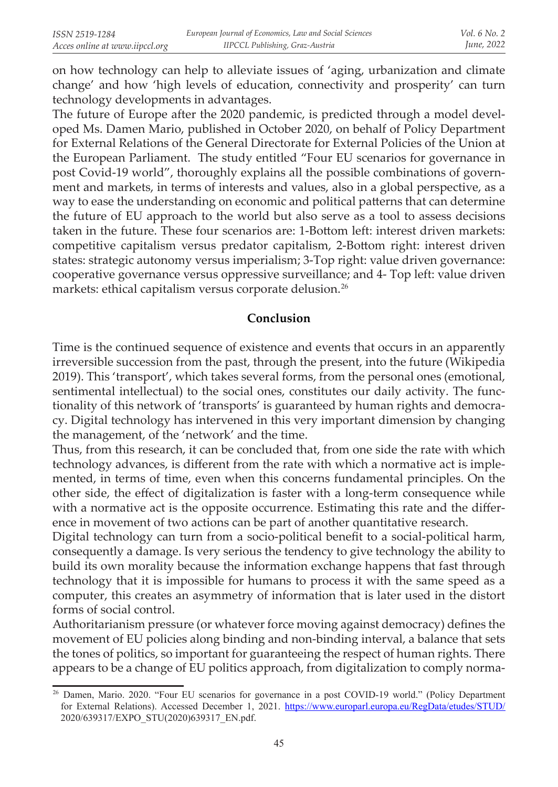on how technology can help to alleviate issues of 'aging, urbanization and climate change' and how 'high levels of education, connectivity and prosperity' can turn technology developments in advantages.

The future of Europe after the 2020 pandemic, is predicted through a model developed Ms. Damen Mario, published in October 2020, on behalf of Policy Department for External Relations of the General Directorate for External Policies of the Union at the European Parliament. The study entitled "Four EU scenarios for governance in post Covid-19 world", thoroughly explains all the possible combinations of government and markets, in terms of interests and values, also in a global perspective, as a way to ease the understanding on economic and political patterns that can determine the future of EU approach to the world but also serve as a tool to assess decisions taken in the future. These four scenarios are: 1-Bottom left: interest driven markets: competitive capitalism versus predator capitalism, 2-Bottom right: interest driven states: strategic autonomy versus imperialism; 3-Top right: value driven governance: cooperative governance versus oppressive surveillance; and 4- Top left: value driven markets: ethical capitalism versus corporate delusion. 26

### **Conclusion**

Time is the continued sequence of existence and events that occurs in an apparently irreversible succession from the past, through the present, into the future (Wikipedia 2019). This 'transport', which takes several forms, from the personal ones (emotional, sentimental intellectual) to the social ones, constitutes our daily activity. The functionality of this network of 'transports' is guaranteed by human rights and democracy. Digital technology has intervened in this very important dimension by changing the management, of the 'network' and the time.

Thus, from this research, it can be concluded that, from one side the rate with which technology advances, is different from the rate with which a normative act is implemented, in terms of time, even when this concerns fundamental principles. On the other side, the effect of digitalization is faster with a long-term consequence while with a normative act is the opposite occurrence. Estimating this rate and the difference in movement of two actions can be part of another quantitative research.

Digital technology can turn from a socio-political benefit to a social-political harm, consequently a damage. Is very serious the tendency to give technology the ability to build its own morality because the information exchange happens that fast through technology that it is impossible for humans to process it with the same speed as a computer, this creates an asymmetry of information that is later used in the distort forms of social control.

Authoritarianism pressure (or whatever force moving against democracy) defines the movement of EU policies along binding and non-binding interval, a balance that sets the tones of politics, so important for guaranteeing the respect of human rights. There appears to be a change of EU politics approach, from digitalization to comply norma-

<sup>&</sup>lt;sup>26</sup> Damen, Mario. 2020. "Four EU scenarios for governance in a post COVID-19 world." (Policy Department for External Relations). Accessed December 1, 2021. https://www.europarl.europa.eu/RegData/etudes/STUD/ 2020/639317/EXPO\_STU(2020)639317\_EN.pdf.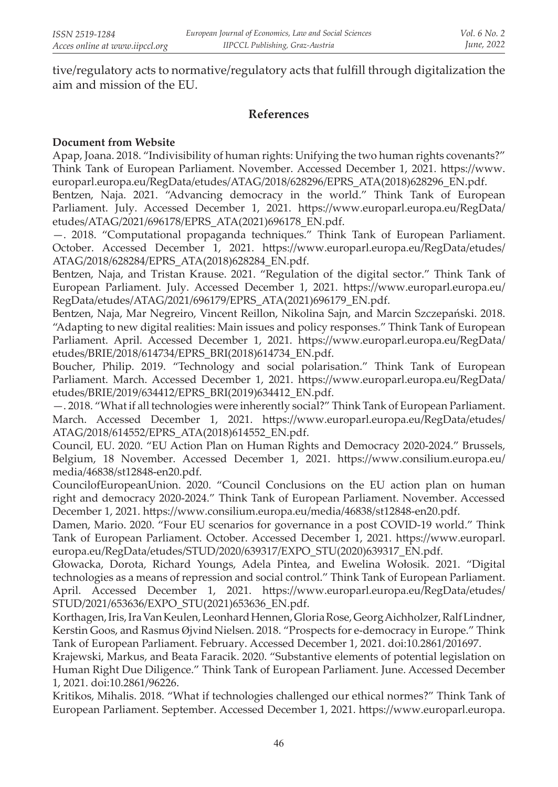tive/regulatory acts to normative/regulatory acts that fulfill through digitalization the aim and mission of the EU.

### **References**

#### **Document from Website**

Apap, Joana. 2018. "Indivisibility of human rights: Unifying the two human rights covenants?" Think Tank of European Parliament. November. Accessed December 1, 2021. https://www. europarl.europa.eu/RegData/etudes/ATAG/2018/628296/EPRS\_ATA(2018)628296\_EN.pdf.

Bentzen, Naja. 2021. "Advancing democracy in the world." Think Tank of European Parliament. July. Accessed December 1, 2021. https://www.europarl.europa.eu/RegData/ etudes/ATAG/2021/696178/EPRS\_ATA(2021)696178\_EN.pdf.

—. 2018. "Computational propaganda techniques." Think Tank of European Parliament. October. Accessed December 1, 2021. https://www.europarl.europa.eu/RegData/etudes/ ATAG/2018/628284/EPRS\_ATA(2018)628284\_EN.pdf.

Bentzen, Naja, and Tristan Krause. 2021. "Regulation of the digital sector." Think Tank of European Parliament. July. Accessed December 1, 2021. https://www.europarl.europa.eu/ RegData/etudes/ATAG/2021/696179/EPRS\_ATA(2021)696179\_EN.pdf.

Bentzen, Naja, Mar Negreiro, Vincent Reillon, Nikolina Sajn, and Marcin Szczepański. 2018. "Adapting to new digital realities: Main issues and policy responses." Think Tank of European Parliament. April. Accessed December 1, 2021. https://www.europarl.europa.eu/RegData/ etudes/BRIE/2018/614734/EPRS\_BRI(2018)614734\_EN.pdf.

Boucher, Philip. 2019. "Technology and social polarisation." Think Tank of European Parliament. March. Accessed December 1, 2021. https://www.europarl.europa.eu/RegData/ etudes/BRIE/2019/634412/EPRS\_BRI(2019)634412\_EN.pdf.

—. 2018. "What if all technologies were inherently social?" Think Tank of European Parliament. March. Accessed December 1, 2021. https://www.europarl.europa.eu/RegData/etudes/ ATAG/2018/614552/EPRS\_ATA(2018)614552\_EN.pdf.

Council, EU. 2020. "EU Action Plan on Human Rights and Democracy 2020-2024." Brussels, Belgium, 18 November. Accessed December 1, 2021. https://www.consilium.europa.eu/ media/46838/st12848-en20.pdf.

CouncilofEuropeanUnion. 2020. "Council Conclusions on the EU action plan on human right and democracy 2020-2024." Think Tank of European Parliament. November. Accessed December 1, 2021. https://www.consilium.europa.eu/media/46838/st12848-en20.pdf.

Damen, Mario. 2020. "Four EU scenarios for governance in a post COVID-19 world." Think Tank of European Parliament. October. Accessed December 1, 2021. https://www.europarl. europa.eu/RegData/etudes/STUD/2020/639317/EXPO\_STU(2020)639317\_EN.pdf.

Głowacka, Dorota, Richard Youngs, Adela Pintea, and Ewelina Wołosik. 2021. "Digital technologies as a means of repression and social control." Think Tank of European Parliament. April. Accessed December 1, 2021. https://www.europarl.europa.eu/RegData/etudes/ STUD/2021/653636/EXPO\_STU(2021)653636\_EN.pdf.

Korthagen, Iris, Ira Van Keulen, Leonhard Hennen, Gloria Rose, Georg Aichholzer, Ralf Lindner, Kerstin Goos, and Rasmus Øjvind Nielsen. 2018. "Prospects for e-democracy in Europe." Think Tank of European Parliament. February. Accessed December 1, 2021. doi:10.2861/201697.

Krajewski, Markus, and Beata Faracik. 2020. "Substantive elements of potential legislation on Human Right Due Diligence." Think Tank of European Parliament. June. Accessed December 1, 2021. doi:10.2861/96226.

Kritikos, Mihalis. 2018. "What if technologies challenged our ethical normes?" Think Tank of European Parliament. September. Accessed December 1, 2021. https://www.europarl.europa.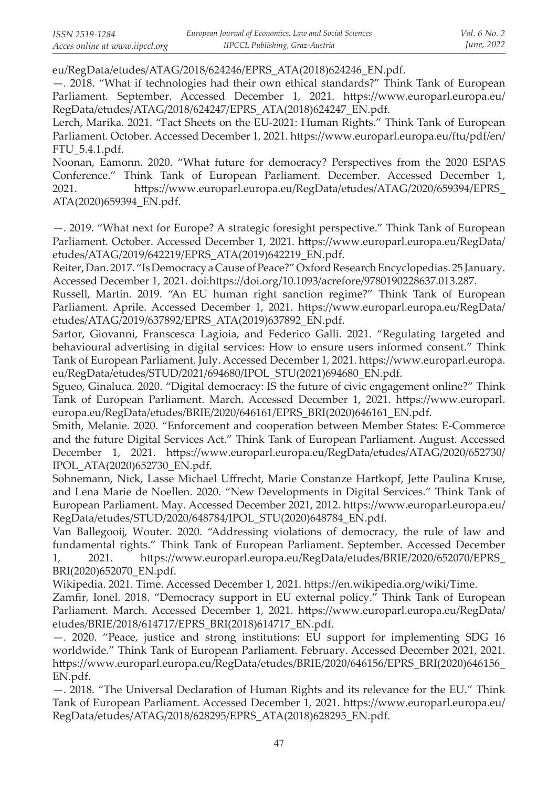eu/RegData/etudes/ATAG/2018/624246/EPRS\_ATA(2018)624246\_EN.pdf.

—. 2018. "What if technologies had their own ethical standards?" Think Tank of European Parliament. September. Accessed December 1, 2021. https://www.europarl.europa.eu/ RegData/etudes/ATAG/2018/624247/EPRS\_ATA(2018)624247\_EN.pdf.

Lerch, Marika. 2021. "Fact Sheets on the EU-2021: Human Rights." Think Tank of European Parliament. October. Accessed December 1, 2021. https://www.europarl.europa.eu/ftu/pdf/en/ FTU\_5.4.1.pdf.

Noonan, Eamonn. 2020. "What future for democracy? Perspectives from the 2020 ESPAS Conference." Think Tank of European Parliament. December. Accessed December 1, 2021. https://www.europarl.europa.eu/RegData/etudes/ATAG/2020/659394/EPRS\_ ATA(2020)659394\_EN.pdf.

—. 2019. "What next for Europe? A strategic foresight perspective." Think Tank of European Parliament. October. Accessed December 1, 2021. https://www.europarl.europa.eu/RegData/ etudes/ATAG/2019/642219/EPRS\_ATA(2019)642219\_EN.pdf.

Reiter, Dan. 2017. "Is Democracy a Cause of Peace?" Oxford Research Encyclopedias. 25 January. Accessed December 1, 2021. doi:https://doi.org/10.1093/acrefore/9780190228637.013.287.

Russell, Martin. 2019. "An EU human right sanction regime?" Think Tank of European Parliament. Aprile. Accessed December 1, 2021. https://www.europarl.europa.eu/RegData/ etudes/ATAG/2019/637892/EPRS\_ATA(2019)637892\_EN.pdf.

Sartor, Giovanni, Franscesca Lagioia, and Federico Galli. 2021. "Regulating targeted and behavioural advertising in digital services: How to ensure users informed consent." Think Tank of European Parliament. July. Accessed December 1, 2021. https://www.europarl.europa. eu/RegData/etudes/STUD/2021/694680/IPOL\_STU(2021)694680\_EN.pdf.

Sgueo, Ginaluca. 2020. "Digital democracy: IS the future of civic engagement online?" Think Tank of European Parliament. March. Accessed December 1, 2021. https://www.europarl. europa.eu/RegData/etudes/BRIE/2020/646161/EPRS\_BRI(2020)646161\_EN.pdf.

Smith, Melanie. 2020. "Enforcement and cooperation between Member States: E-Commerce and the future Digital Services Act." Think Tank of European Parliament. August. Accessed December 1, 2021. https://www.europarl.europa.eu/RegData/etudes/ATAG/2020/652730/ IPOL\_ATA(2020)652730\_EN.pdf.

Sohnemann, Nick, Lasse Michael Uffrecht, Marie Constanze Hartkopf, Jette Paulina Kruse, and Lena Marie de Noellen. 2020. "New Developments in Digital Services." Think Tank of European Parliament. May. Accessed December 2021, 2012. https://www.europarl.europa.eu/ RegData/etudes/STUD/2020/648784/IPOL\_STU(2020)648784\_EN.pdf.

Van Ballegooij, Wouter. 2020. "Addressing violations of democracy, the rule of law and fundamental rights." Think Tank of European Parliament. September. Accessed December 1, 2021. https://www.europarl.europa.eu/RegData/etudes/BRIE/2020/652070/EPRS\_ BRI(2020)652070\_EN.pdf.

Wikipedia. 2021. Time. Accessed December 1, 2021. https://en.wikipedia.org/wiki/Time.

Zamfir, Ionel. 2018. "Democracy support in EU external policy." Think Tank of European Parliament. March. Accessed December 1, 2021. https://www.europarl.europa.eu/RegData/ etudes/BRIE/2018/614717/EPRS\_BRI(2018)614717\_EN.pdf.

—. 2020. "Peace, justice and strong institutions: EU support for implementing SDG 16 worldwide." Think Tank of European Parliament. February. Accessed December 2021, 2021. https://www.europarl.europa.eu/RegData/etudes/BRIE/2020/646156/EPRS\_BRI(2020)646156\_ EN.pdf.

—. 2018. "The Universal Declaration of Human Rights and its relevance for the EU." Think Tank of European Parliament. Accessed December 1, 2021. https://www.europarl.europa.eu/ RegData/etudes/ATAG/2018/628295/EPRS\_ATA(2018)628295\_EN.pdf.